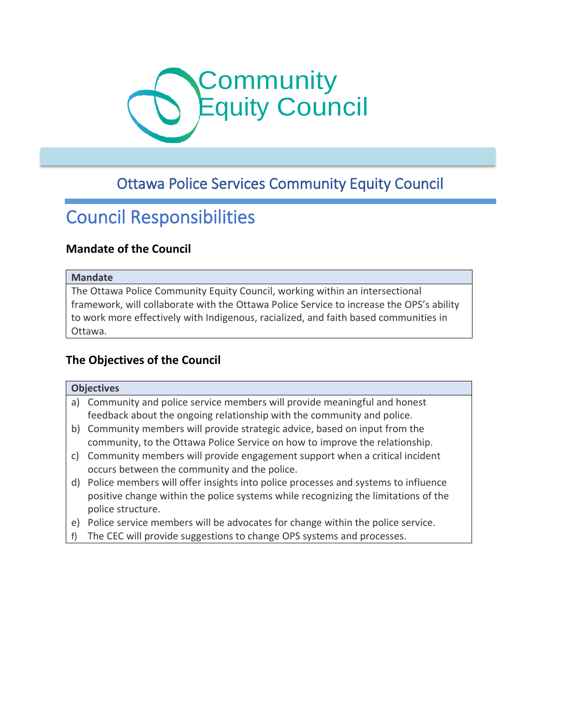

# Ottawa Police Services Community Equity Council

# Council Responsibilities

# **Mandate of the Council**

#### **Mandate**

The Ottawa Police Community Equity Council, working within an intersectional framework, will collaborate with the Ottawa Police Service to increase the OPS's ability to work more effectively with Indigenous, racialized, and faith based communities in Ottawa.

#### **The Objectives of the Council**

#### **Objectives**

- a) Community and police service members will provide meaningful and honest feedback about the ongoing relationship with the community and police.
- b) Community members will provide strategic advice, based on input from the community, to the Ottawa Police Service on how to improve the relationship.
- c) Community members will provide engagement support when a critical incident occurs between the community and the police.
- d) Police members will offer insights into police processes and systems to influence positive change within the police systems while recognizing the limitations of the police structure.
- e) Police service members will be advocates for change within the police service.
- f) The CEC will provide suggestions to change OPS systems and processes.